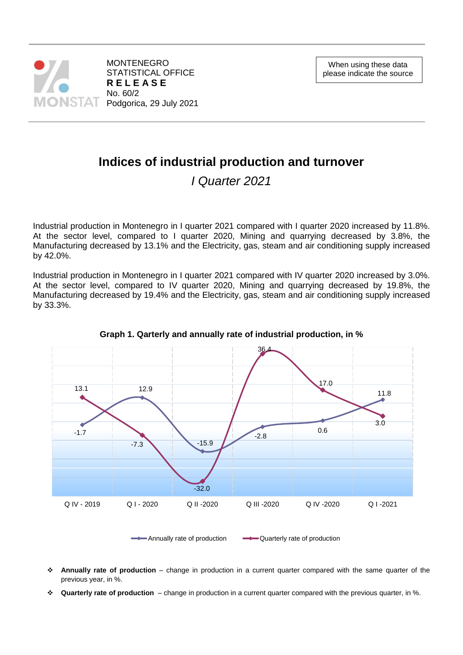

# **Indices of industrial production and turnover**

*I Quarter 2021*

Industrial production in Montenegro in I quarter 2021 compared with I quarter 2020 increased by 11.8%. At the sector level, compared to I quarter 2020, Mining and quarrying decreased by 3.8%, the Manufacturing decreased by 13.1% and the Electricity, gas, steam and air conditioning supply increased by 42.0%.

Industrial production in Montenegro in I quarter 2021 compared with IV quarter 2020 increased by 3.0%. At the sector level, compared to IV quarter 2020, Mining and quarrying decreased by 19.8%, the Manufacturing decreased by 19.4% and the Electricity, gas, steam and air conditioning supply increased by 33.3%.



**Graph 1. Qarterly and annually rate of industrial production, in %**

Annually rate of production  $\longrightarrow$  Quarterly rate of production

- **Annually rate of production** change in production in a current quarter compared with the same quarter of the previous year, in %.
- **Quarterly rate of production** change in production in a current quarter compared with the previous quarter, in %.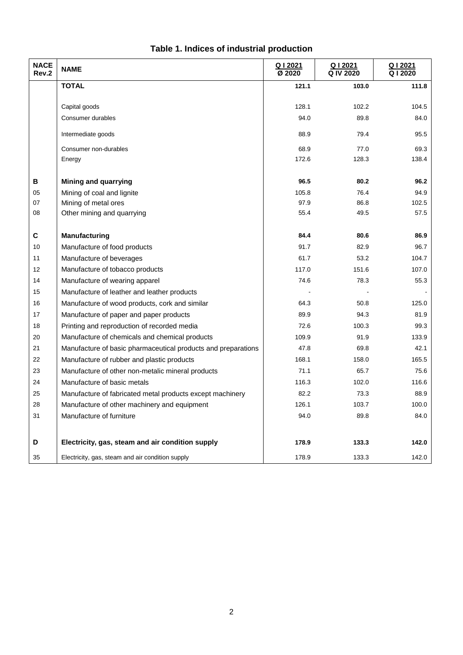| <b>NACE</b><br>Rev.2 | <b>NAME</b>                                                   | Q12021<br>Ø 2020 | Q I 2021<br>Q IV 2020 | Q   2021<br>Q12020 |
|----------------------|---------------------------------------------------------------|------------------|-----------------------|--------------------|
|                      | <b>TOTAL</b>                                                  | 121.1            | 103.0                 | 111.8              |
|                      |                                                               |                  |                       |                    |
|                      | Capital goods                                                 | 128.1            | 102.2                 | 104.5              |
|                      | Consumer durables                                             | 94.0             | 89.8                  | 84.0               |
|                      | Intermediate goods                                            | 88.9             | 79.4                  | 95.5               |
|                      | Consumer non-durables                                         | 68.9             | 77.0                  | 69.3               |
|                      | Energy                                                        | 172.6            | 128.3                 | 138.4              |
|                      |                                                               |                  |                       |                    |
| в                    | <b>Mining and quarrying</b>                                   | 96.5             | 80.2                  | 96.2               |
| 05                   | Mining of coal and lignite                                    | 105.8            | 76.4                  | 94.9               |
| 07                   | Mining of metal ores                                          | 97.9             | 86.8                  | 102.5              |
| 08                   | Other mining and quarrying                                    | 55.4             | 49.5                  | 57.5               |
|                      |                                                               |                  |                       |                    |
| C                    | <b>Manufacturing</b>                                          | 84.4             | 80.6                  | 86.9               |
| 10                   | Manufacture of food products                                  | 91.7             | 82.9                  | 96.7               |
| 11                   | Manufacture of beverages                                      | 61.7             | 53.2                  | 104.7              |
| 12                   | Manufacture of tobacco products                               | 117.0            | 151.6                 | 107.0              |
| 14                   | Manufacture of wearing apparel                                | 74.6             | 78.3                  | 55.3               |
| 15                   | Manufacture of leather and leather products                   |                  |                       |                    |
| 16                   | Manufacture of wood products, cork and similar                | 64.3             | 50.8                  | 125.0              |
| 17                   | Manufacture of paper and paper products                       | 89.9             | 94.3                  | 81.9               |
| 18                   | Printing and reproduction of recorded media                   | 72.6             | 100.3                 | 99.3               |
| 20                   | Manufacture of chemicals and chemical products                | 109.9            | 91.9                  | 133.9              |
| 21                   | Manufacture of basic pharmaceutical products and preparations | 47.8             | 69.8                  | 42.1               |
| 22                   | Manufacture of rubber and plastic products                    | 168.1            | 158.0                 | 165.5              |
| 23                   | Manufacture of other non-metalic mineral products             | 71.1             | 65.7                  | 75.6               |
| 24                   | Manufacture of basic metals                                   | 116.3            | 102.0                 | 116.6              |
| 25                   | Manufacture of fabricated metal products except machinery     | 82.2             | 73.3                  | 88.9               |
| 28                   | Manufacture of other machinery and equipment                  | 126.1            | 103.7                 | 100.0              |
| 31                   | Manufacture of furniture                                      | 94.0             | 89.8                  | 84.0               |
|                      |                                                               |                  |                       |                    |
| D                    | Electricity, gas, steam and air condition supply              | 178.9            | 133.3                 | 142.0              |
| 35                   | Electricity, gas, steam and air condition supply              | 178.9            | 133.3                 | 142.0              |

# **Table 1. Indices of industrial production**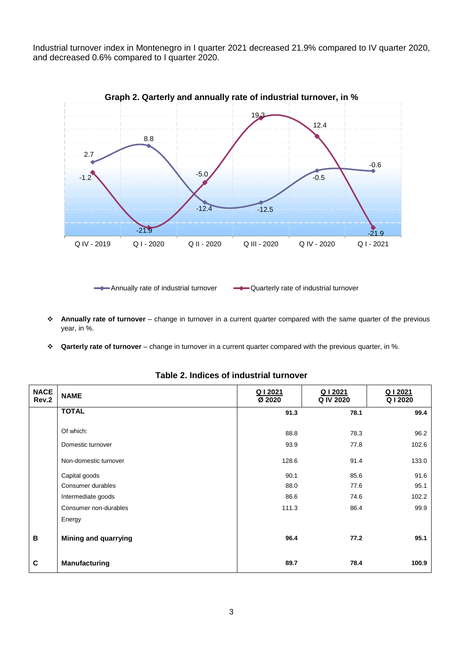Industrial turnover index in Montenegro in I quarter 2021 decreased 21.9% compared to IV quarter 2020, and decreased 0.6% compared to I quarter 2020.



Annually rate of industrial turnover  $\longrightarrow$  Quarterly rate of industrial turnover

- **Annually rate of turnover** change in turnover in a current quarter compared with the same quarter of the previous year, in %.
- **Qarterly rate of turnover** change in turnover in a current quarter compared with the previous quarter, in %.

| <b>NACE</b><br>Rev.2 | <b>NAME</b>                 | Q I 2021<br>Ø 2020 | Q I 2021<br>Q IV 2020 | Q I 2021<br>Q I 2020 |
|----------------------|-----------------------------|--------------------|-----------------------|----------------------|
|                      | <b>TOTAL</b>                | 91.3               | 78.1                  | 99.4                 |
|                      | Of which:                   | 88.8               | 78.3                  | 96.2                 |
|                      | Domestic turnover           | 93.9               | 77.8                  | 102.6                |
|                      | Non-domestic turnover       | 128.6              | 91.4                  | 133.0                |
|                      | Capital goods               | 90.1               | 85.6                  | 91.6                 |
|                      | Consumer durables           | 88.0               | 77.6                  | 95.1                 |
|                      | Intermediate goods          | 86.6               | 74.6                  | 102.2                |
|                      | Consumer non-durables       | 111.3              | 86.4                  | 99.9                 |
|                      | Energy                      |                    |                       |                      |
| В                    | <b>Mining and quarrying</b> | 96.4               | 77.2                  | 95.1                 |
| $\mathbf{C}$         | Manufacturing               | 89.7               | 78.4                  | 100.9                |

**Table 2. Indices of industrial turnover**